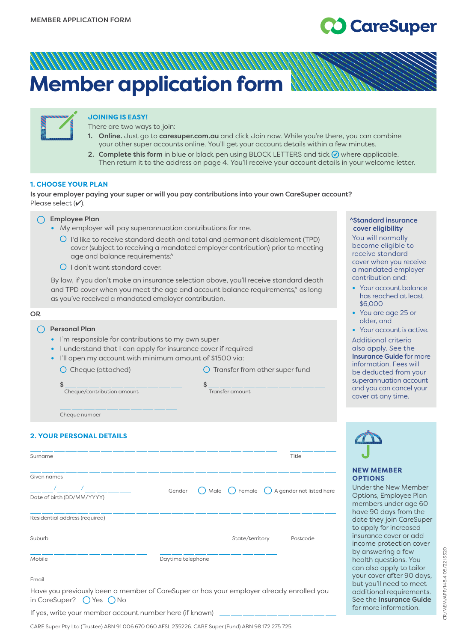# CareSuper

# **Member application form**



# **JOINING IS EASY!**

There are two ways to join:

- 1. Online. Just go to [caresuper.com.au](http://www.caresuper.com.au) and click Join now. While you're there, you can combine your other super accounts online. You'll get your account details within a few minutes.
- 2. Complete this form in blue or black pen using BLOCK LETTERS and tick  $\odot$  where applicable. Then return it to the address on page 4. You'll receive your account details in your welcome letter.

## **1. CHOOSE YOUR PLAN**

Is your employer paying your super or will you pay contributions into your own CareSuper account? Please select  $(V)$ .



- **•** My employer will pay superannuation contributions for me.
	- I'd like to receive standard death and total and permanent disablement (TPD) cover (subject to receiving a mandated employer contribution) prior to meeting age and balance requirements.<sup>^</sup>
	- $\bigcirc$  I don't want standard cover.

By law, if you don't make an insurance selection above, you'll receive standard death and TPD cover when you meet the age and account balance requirements,<sup>^</sup> as long as you've received a mandated employer contribution.

# OR  $\bigcap$  Personal Plan **•** I'm responsible for contributions to my own super • I understand that I can apply for insurance cover if required **•** I'll open my account with minimum amount of \$1500 via: O Cheque (attached) Cheque (attached) C Transfer from other super fund \$ \$ **Cheque/contribution amount** *Cheque/contribution amount*

#### ^Standard insurance cover eligibility

You will normally become eligible to receive standard cover when you receive a mandated employer contribution and:

- **•** Your account balance has reached at least \$6,000
- **•** You are age 25 or older, and

**•** Your account is active. Additional criteria also apply. See the Insurance Guide for more information. Fees will be deducted from your superannuation account and you can cancel your cover at any time.

Cheque number

# **2. YOUR PERSONAL DETAILS**

| Surname                                   |                   |                 | Title                                                                 |
|-------------------------------------------|-------------------|-----------------|-----------------------------------------------------------------------|
| Given names<br>Date of birth (DD/MM/YYYY) | Gender            |                 | $\bigcirc$ Male $\bigcirc$ Female $\bigcirc$ A gender not listed here |
| Residential address (required)            |                   |                 |                                                                       |
| Suburb                                    |                   | State/territory | Postcode                                                              |
| Mobile                                    | Daytime telephone |                 |                                                                       |
| $F_{\text{max}}$                          |                   |                 |                                                                       |

#### Emai

Have you previously been a member of CareSuper or has your employer already enrolled you in CareSuper?  $\bigcap$  Yes  $\bigcap$  No

If yes, write your member account number here (if known).

CARE Super Pty Ltd (Trustee) ABN 91 006 670 060 AFSL 235226. CARE Super (Fund) ABN 98 172 275 725.

**OPTION**S

Under the New Member Options, Employee Plan members under age 60 have 90 days from the date they join CareSuper to apply for increased insurance cover or add income protection cover by answering a few health questions. You can also apply to tailor your cover after 90 days, but you'll need to meet additional requirements. See the Insurance Guide for more information.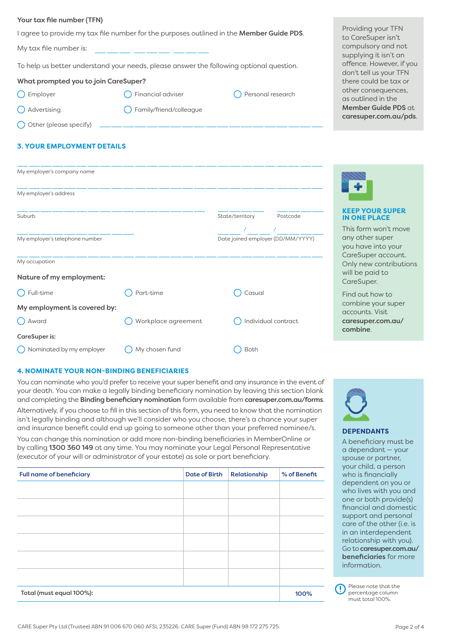#### Your tax file number (TFN)

I agree to provide my tax file number for the purposes outlined in the **Member Guide PDS**.

My tax file number is:

To help us better understand your needs, please answer the following optional question.

## What prompted you to join CareSuper?

 $\bigcap$  Employer  $\bigcap$  Financial adviser  $\bigcap$  Personal research

- 
- ◯ Advertising and C Family/friend/colleague
- $\bigcap$  Other (please specify)

# **3. YOUR EMPLOYMENT DETAILS**

| My employer's company name     |                     |                                   |                     |
|--------------------------------|---------------------|-----------------------------------|---------------------|
| My employer's address          |                     |                                   |                     |
| Suburb                         |                     | State/territory                   | Postcode            |
|                                |                     |                                   |                     |
| My employer's telephone number |                     | Date joined employer (DD/MM/YYYY) |                     |
| My occupation                  |                     |                                   |                     |
| Nature of my employment:       |                     |                                   |                     |
| Full-time                      | Part-time           | Casual                            |                     |
| My employment is covered by:   |                     |                                   |                     |
| Award                          | Workplace agreement |                                   | Individual contract |
| CareSuper is:                  |                     |                                   |                     |
| Nominated by my employer       | My chosen fund      | Both                              |                     |



You can nominate who you'd prefer to receive your super benefit and any insurance in the event of your death. You can make a legally binding beneficiary nomination by leaving this section blank and completing the Binding beneficiary nomination form available from [caresuper.com.au/forms](http://www.caresuper.com.au/forms). Alternatively, if you choose to fill in this section of this form, you need to know that the nomination isn't legally binding and although we'll consider who you choose, there's a chance your super and insurance benefit could end up going to someone other than your preferred nominee/s.

You can change this nomination or add more non-binding beneficiaries in MemberOnline or by calling 1300 360 149 at any time. You may nominate your Legal Personal Representative (executor of your will or administrator of your estate) as sole or part beneficiary.

| <b>Full name of beneficiary</b> | <b>Date of Birth</b> | Relationship | % of Benefit |
|---------------------------------|----------------------|--------------|--------------|
|                                 |                      |              |              |
|                                 |                      |              |              |
|                                 |                      |              |              |
|                                 |                      |              |              |
|                                 |                      |              |              |
|                                 |                      |              |              |
| Total (must equal 100%):        |                      |              | 100%         |

Providing your TFN to CareSuper isn't compulsory and not supplying it isn't an offence. However, if you don't tell us your TFN there could be tax or other consequences, as outlined in the Member Guide PDS at [caresuper.com.au/pds](http://www.caresuper.com.au/pds).



## **KEEP YOUR SUPER IN ONE PLACE**

This form won't move any other super you have into your CareSuper account. Only new contributions will be paid to CareSuper.

Find out how to combine your super accounts. Visit [caresuper.com.au/](http://www.caresuper.com.au/combine) [combine](http://www.caresuper.com.au/combine).



# **DEPENDANTS**

A beneficiary must be a dependant — your spouse or partner, your child, a person who is financially dependent on you or who lives with you and one or both provide(s) financial and domestic support and personal care of the other (i.e. is in an interdependent relationship with you). Go to [caresuper.com.au/](http://www.caresuper.com.au/beneficiaries) [beneficiaries](http://www.caresuper.com.au/beneficiaries) for more information.

| D Please note that the<br>percentage column |
|---------------------------------------------|
|                                             |
| must total 100%.                            |

percentage column must total 100%.

#### CARE Super Pty Ltd (Trustee) ABN 91 006 670 060 AFSL 235226. CARE Super (Fund) ABN 98 172 275 725. Page 2 of 4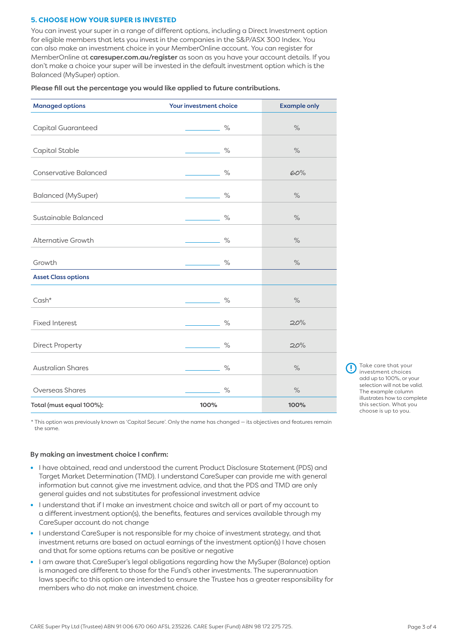## **5. CHOOSE HOW YOUR SUPER IS INVESTED**

You can invest your super in a range of different options, including a Direct Investment option for eligible members that lets you invest in the companies in the S&P/ASX 300 Index. You can also make an investment choice in your MemberOnline account. You can register for MemberOnline at [caresuper.com.au/register](http://www.caresuper.com.au/register) as soon as you have your account details. If you don't make a choice your super will be invested in the default investment option which is the Balanced (MySuper) option.

#### Please fill out the percentage you would like applied to future contributions.

| <b>Managed options</b>       | Your investment choice | <b>Example only</b> |
|------------------------------|------------------------|---------------------|
|                              |                        |                     |
| Capital Guaranteed           | $\%$                   | $\%$                |
|                              |                        |                     |
| Capital Stable               | $\%$                   | $\%$                |
| <b>Conservative Balanced</b> | $\%$                   | 60%                 |
| <b>Balanced (MySuper)</b>    | $\%$                   | $\%$                |
| Sustainable Balanced         | $\%$                   | $\%$                |
| <b>Alternative Growth</b>    | $\%$                   | $\%$                |
| Growth                       | $\%$                   | $\%$                |
| <b>Asset Class options</b>   |                        |                     |
| $Cash*$                      | $\%$                   | $\%$                |
| <b>Fixed Interest</b>        | $\%$                   | 20%                 |
| <b>Direct Property</b>       | $\frac{1}{2}$          | 20%                 |
| <b>Australian Shares</b>     | $\%$                   | $\%$                |
| <b>Overseas Shares</b>       | $\%$                   | $\%$                |
| Total (must equal 100%):     | 100%                   | 100%                |

Take care that your investment choices add up to 100%, or your selection will not be valid. The example column illustrates how to complete this section. What you choose is up to you.

\* This option was previously known as 'Capital Secure'. Only the name has changed — its objectives and features remain the same.

#### By making an investment choice I confirm:

- **•** I have obtained, read and understood the current Product Disclosure Statement (PDS) and Target Market Determination (TMD). I understand CareSuper can provide me with general information but cannot give me investment advice, and that the PDS and TMD are only general guides and not substitutes for professional investment advice
- **•** I understand that if I make an investment choice and switch all or part of my account to a different investment option(s), the benefits, features and services available through my CareSuper account do not change
- **•** I understand CareSuper is not responsible for my choice of investment strategy, and that investment returns are based on actual earnings of the investment option(s) I have chosen and that for some options returns can be positive or negative
- **•** I am aware that CareSuper's legal obligations regarding how the MySuper (Balance) option is managed are different to those for the Fund's other investments. The superannuation laws specific to this option are intended to ensure the Trustee has a greater responsibility for members who do not make an investment choice.